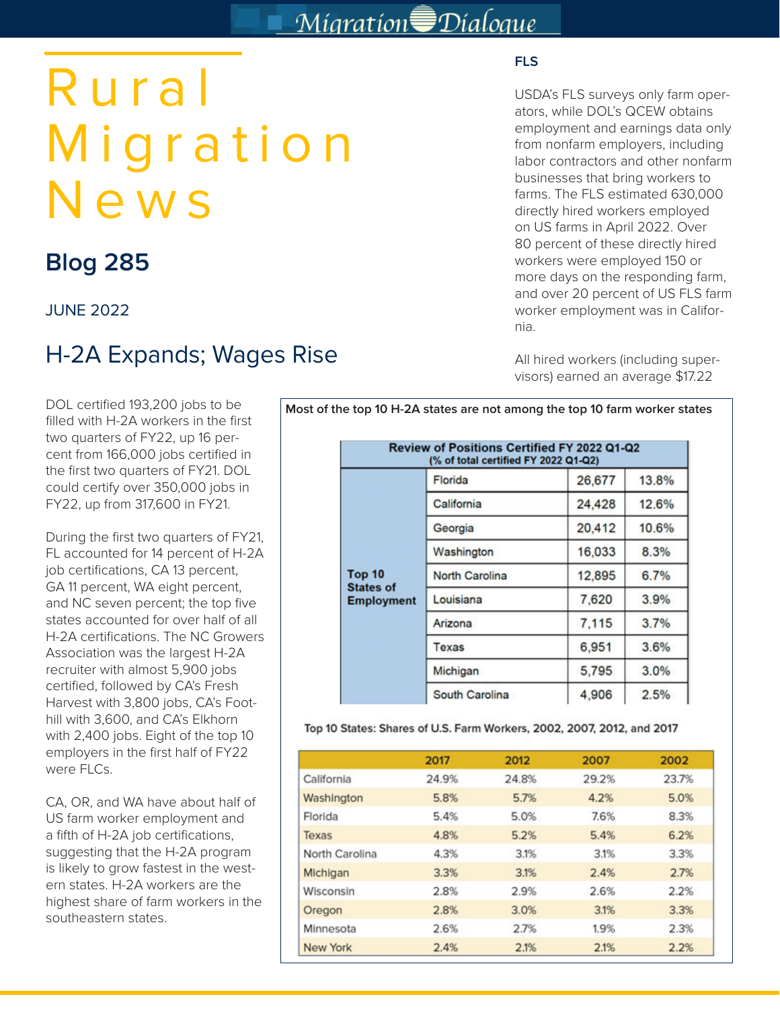# Migration<sup>S</sup>Dialogue

# Rural Migration News

# **Blog 285**

JUNE 2022

# H-2A Expands; Wages Rise

DOL certified 193,200 jobs to be filled with H-2A workers in the first two quarters of FY22, up 16 percent from 166,000 jobs certified in the first two quarters of FY21. DOL could certify over 350,000 jobs in FY22, up from 317,600 in FY21.

During the first two quarters of FY21, FL accounted for 14 percent of H-2A job certifications, CA 13 percent, GA 11 percent, WA eight percent, and NC seven percent; the top five states accounted for over half of all H-2A certifications. The NC Growers Association was the largest H-2A recruiter with almost 5,900 jobs certified, followed by CA's Fresh Harvest with 3,800 jobs, CA's Foothill with 3,600, and CA's Elkhorn with 2,400 jobs. Eight of the top 10 employers in the first half of FY22 were FLCs.

CA, OR, and WA have about half of US farm worker employment and a fifth of H-2A job certifications, suggesting that the H-2A program is likely to grow fastest in the western states. H-2A workers are the highest share of farm workers in the southeastern states.

## **FLS**

USDA's FLS surveys only farm operators, while DOL's QCEW obtains employment and earnings data only from nonfarm employers, including labor contractors and other nonfarm businesses that bring workers to farms. The FLS estimated 630,000 directly hired workers employed on US farms in April 2022. Over 80 percent of these directly hired workers were employed 150 or more days on the responding farm, and over 20 percent of US FLS farm worker employment was in California.

All hired workers (including supervisors) earned an average \$17.22

|                                       | (% of total certified FY 2022 Q1-Q2) |        |              |
|---------------------------------------|--------------------------------------|--------|--------------|
| <b>Top 10</b>                         | Florida                              | 26,677 | 13.8%        |
|                                       | California                           | 24,428 | 12.6%        |
|                                       | Georgia                              | 20,412 | 10.6%        |
|                                       | Washington                           | 16,033 | 8.3%<br>6.7% |
|                                       | <b>North Carolina</b>                | 12,895 |              |
| <b>States of</b><br><b>Employment</b> | Louisiana                            | 7,620  | 3.9%         |
|                                       | Arizona                              | 7,115  | 3.7%         |
|                                       | Texas                                | 6,951  | 3.6%         |
|                                       | Michigan                             | 5,795  | 3.0%         |
|                                       | South Carolina                       | 4,906  | 2.5%         |

**Most of the top 10 H-2A states are not among the top 10 farm worker states**

Top 10 States: Shares of U.S. Farm Workers, 2002, 2007, 2012, and 2017

|                | 2017  | 2012  | 2007  | 2002  |
|----------------|-------|-------|-------|-------|
| California     | 24.9% | 24.8% | 29.2% | 23.7% |
| Washington     | 5.8%  | 5.7%  | 4.2%  | 5.0%  |
| Florida        | 5.4%  | 5.0%  | 7.6%  | 8.3%  |
| Texas          | 4.8%  | 5.2%  | 5.4%  | 6.2%  |
| North Carolina | 4.3%  | 3.1%  | 3.1%  | 3.3%  |
| Michigan       | 3.3%  | 3.1%  | 2.4%  | 2.7%  |
| Wisconsin      | 2.8%  | 2.9%  | 2.6%  | 2.2%  |
| Oregon         | 2.8%  | 3.0%  | 3.1%  | 3.3%  |
| Minnesota      | 2.6%  | 2.7%  | 1.9%  | 2.3%  |
| New York       | 2.4%  | 2.1%  | 2.1%  | 2.2%  |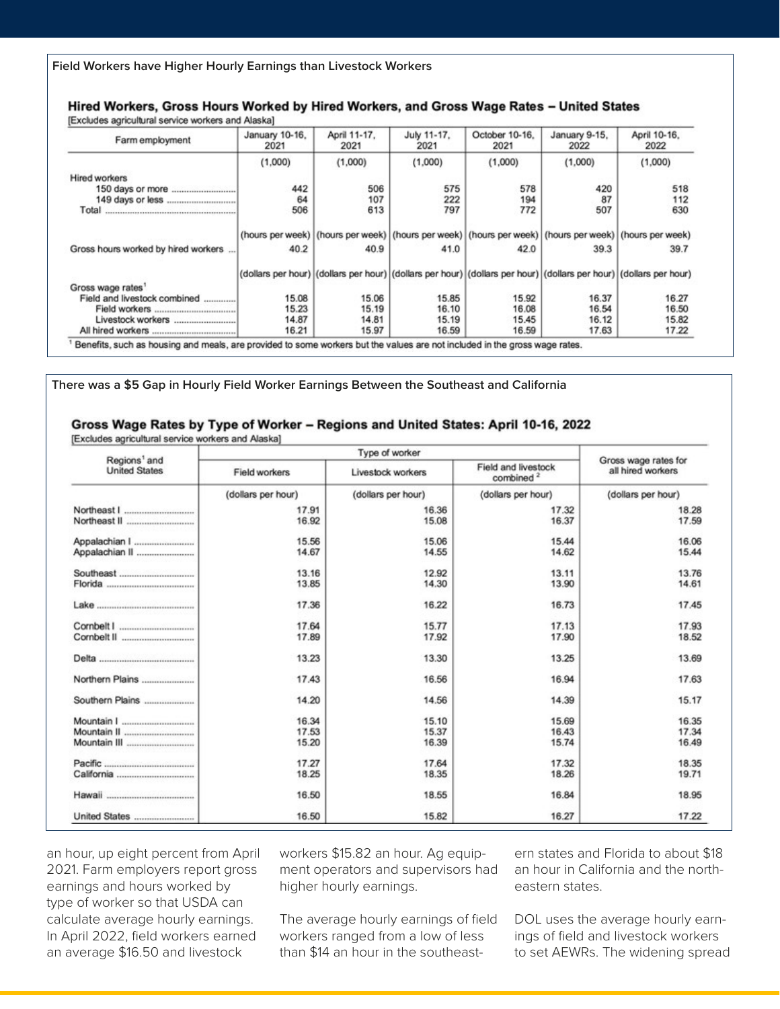**Field Workers have Higher Hourly Earnings than Livestock Workers**

#### Hired Workers, Gross Hours Worked by Hired Workers, and Gross Wage Rates - United States (Evaludes assisuitural condoo washeep and Algeba)

| Farm employment                     | January 10-16.<br>2021 | April 11-17.<br>2021 | July 11-17.<br>2021 | October 10-16.<br>2021                                                                                            | January 9-15.<br>2022 | April 10-16.<br>2022 |
|-------------------------------------|------------------------|----------------------|---------------------|-------------------------------------------------------------------------------------------------------------------|-----------------------|----------------------|
|                                     | (1,000)                | (1,000)              | (1,000)             | (1,000)                                                                                                           | (1,000)               | (1,000)              |
| Hired workers                       |                        |                      |                     |                                                                                                                   |                       |                      |
|                                     | 442                    | 506                  | 575                 | 578                                                                                                               | 420                   | 518                  |
|                                     | 64                     | 107                  | 222                 | 194                                                                                                               | 87                    | 112                  |
|                                     | 506                    | 613                  | 797                 | 772                                                                                                               | 507                   | 630                  |
|                                     |                        |                      |                     | (hours per week)   (hours per week)   (hours per week)   (hours per week)   (hours per week)   (hours per week)   |                       |                      |
| Gross hours worked by hired workers | 40.2                   | 40.9                 | 41.0                | 42.0                                                                                                              | 39.3                  | 39.7                 |
|                                     |                        |                      |                     | (dollars per hour) (dollars per hour) (dollars per hour) (dollars per hour) (dollars per hour) (dollars per hour) |                       |                      |
| Gross wage rates                    |                        |                      |                     |                                                                                                                   |                       |                      |
| Field and livestock combined        | 15.08                  | 15.06                | 15.85               | 15.92                                                                                                             | 16.37                 | 16.27                |
|                                     | 15.23                  | 15.19                | 16.10               | 16.08                                                                                                             | 16.54                 | 16.50                |
| Livestock workers                   | 14.87                  | 14.81                | 15.19               | 15.45                                                                                                             | 16.12                 | 15.82                |
|                                     | 16.21                  | 15.97                | 16.59               | 16.59                                                                                                             | 17.63                 | 17.22                |

**There was a \$5 Gap in Hourly Field Worker Earnings Between the Southeast and California** 

#### Gross Wage Rates by Type of Worker - Regions and United States: April 10-16, 2022

[Excludes agricultural service workers and Alaska]

|                                                  |                    | Type of worker                                                    |                    |                                           |  |
|--------------------------------------------------|--------------------|-------------------------------------------------------------------|--------------------|-------------------------------------------|--|
| Regions <sup>1</sup> and<br><b>United States</b> | Field workers      | Field and livestock<br>Livestock workers<br>combined <sup>2</sup> |                    | Gross wage rates for<br>all hired workers |  |
|                                                  | (dollars per hour) | (dollars per hour)                                                | (dollars per hour) | (dollars per hour)                        |  |
|                                                  | 17.91              | 16.36                                                             | 17.32              | 18.28                                     |  |
|                                                  | 16.92              | 15.08                                                             | 16.37              | 17.59                                     |  |
| Appalachian I                                    | 15.56              | 15.06                                                             | 15.44              | 16.06                                     |  |
| Appalachian II                                   | 14.67              | 14.55                                                             | 14.62              | 15.44                                     |  |
|                                                  | 13.16              | 12.92                                                             | 13.11              | 13.76                                     |  |
|                                                  | 13.85              | 14.30                                                             | 13.90              | 14.61                                     |  |
|                                                  | 17.36              | 16.22                                                             | 16.73              | 17.45                                     |  |
|                                                  | 17.64              | 15.77                                                             | 17.13              | 17.93                                     |  |
|                                                  | 17.89              | 17.92                                                             | 17.90              | 18.52                                     |  |
|                                                  | 13.23              | 13.30                                                             | 13.25              | 13.69                                     |  |
| Northern Plains                                  | 17.43              | 16.56                                                             | 16.94              | 17.63                                     |  |
| Southern Plains                                  | 14.20              | 14.56                                                             | 14.39              | 15.17                                     |  |
|                                                  | 16.34              | 15.10                                                             | 15.69              | 16.35                                     |  |
|                                                  | 17.53              | 15.37                                                             | 16.43              | 17.34                                     |  |
|                                                  | 15.20              | 16.39                                                             | 15.74              | 16.49                                     |  |
|                                                  | 17.27              | 17.64                                                             | 17.32              | 18.35                                     |  |
|                                                  | 18.25              | 18.35                                                             | 18.26              | 19.71                                     |  |
|                                                  | 16.50              | 18.55                                                             | 16.84              | 18.95                                     |  |
|                                                  | 16.50              | 15.82                                                             | 16.27              | 17.22                                     |  |

an hour, up eight percent from April 2021. Farm employers report gross earnings and hours worked by type of worker so that USDA can calculate average hourly earnings. In April 2022, field workers earned an average \$16.50 and livestock

workers \$15.82 an hour. Ag equipment operators and supervisors had higher hourly earnings.

The average hourly earnings of field workers ranged from a low of less than \$14 an hour in the southeast-

ern states and Florida to about \$18 an hour in California and the northeastern states.

DOL uses the average hourly earnings of field and livestock workers to set AEWRs. The widening spread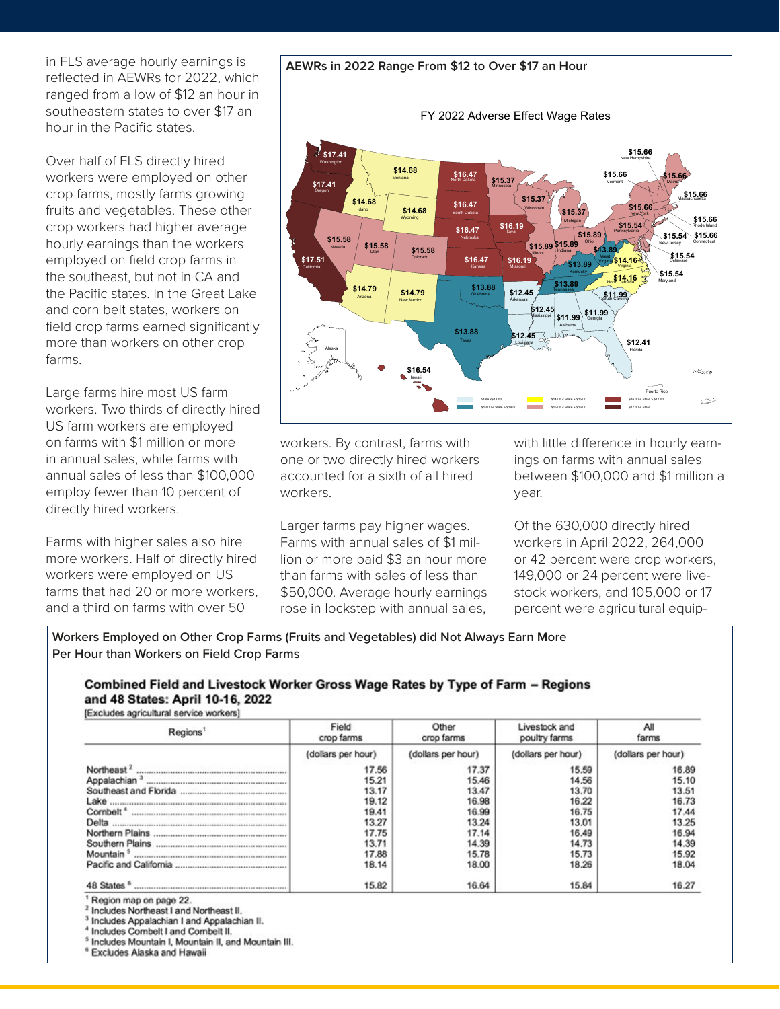in FLS average hourly earnings is reflected in AEWRs for 2022, which ranged from a low of \$12 an hour in southeastern states to over \$17 an hour in the Pacific states.

Over half of FLS directly hired workers were employed on other crop farms, mostly farms growing fruits and vegetables. These other crop workers had higher average hourly earnings than the workers employed on field crop farms in the southeast, but not in CA and the Pacific states. In the Great Lake and corn belt states, workers on field crop farms earned significantly more than workers on other crop farms.

Large farms hire most US farm workers. Two thirds of directly hired US farm workers are employed on farms with \$1 million or more in annual sales, while farms with annual sales of less than \$100,000 employ fewer than 10 percent of directly hired workers.

Farms with higher sales also hire more workers. Half of directly hired workers were employed on US farms that had 20 or more workers, and a third on farms with over 50

workers. By contrast, farms with one or two directly hired workers accounted for a sixth of all hired workers.

Larger farms pay higher wages. Farms with annual sales of \$1 million or more paid \$3 an hour more than farms with sales of less than \$50,000. Average hourly earnings rose in lockstep with annual sales,

with little difference in hourly earnings on farms with annual sales between \$100,000 and \$1 million a year.

Of the 630,000 directly hired workers in April 2022, 264,000 or 42 percent were crop workers, 149,000 or 24 percent were livestock workers, and 105,000 or 17 percent were agricultural equip-

**Workers Employed on Other Crop Farms (Fruits and Vegetables) did Not Always Earn More Per Hour than Workers on Field Crop Farms**

#### Combined Field and Livestock Worker Gross Wage Rates by Type of Farm - Regions and 48 States: April 10-16, 2022 [Excludes agricultural service workers]

Field Other Livestock and All Regions<sup>1</sup> crop farms farms crop farms poultry farms (dollars per hour) (dollars per hour) (dollars per hour) (dollars per hour) Northeast<sup>2</sup> 17.56 17.37 15.59 16.89 Appalachian<sup>3</sup> 15.21 15.46 14.56 15.10 Southeast and Florida .. 13.17 13.47 13.70 13.51 19.12 16.98 16.22 16.73 Lake .... Cornbelt<sup>4</sup> 19.41 16.99 16.75 17.44 Delta ...... 13.25 13.24 13.27 13.01 Northern Plains ....... 17.75 17.14 16.49 16.94 Southern Plains ............. 13.71 14.39 14.73 14.39 Mountain<sup>5</sup> 17.88 15.78 15.73 15.92 Pacific and California ............ 18.00 18.26 18.04 18.14 15.82 16.64 15.84 16.27

Region map on page 22.

Includes Northeast I and Northeast II.

Includes Appalachian I and Appalachian II.

Includes Combelt I and Combelt II.

<sup>5</sup> Includes Mountain I, Mountain II, and Mountain III.

Excludes Alaska and Hawaii

#### **AEWRs in 2022 Range From \$12 to Over \$17 an Hour** FY 2022 Adverse Effect Wage Rates \$15.66 **\$15.37 \$15.66** Vermont **\$14.68** Maine \$16.47 **\$17.41** Washington

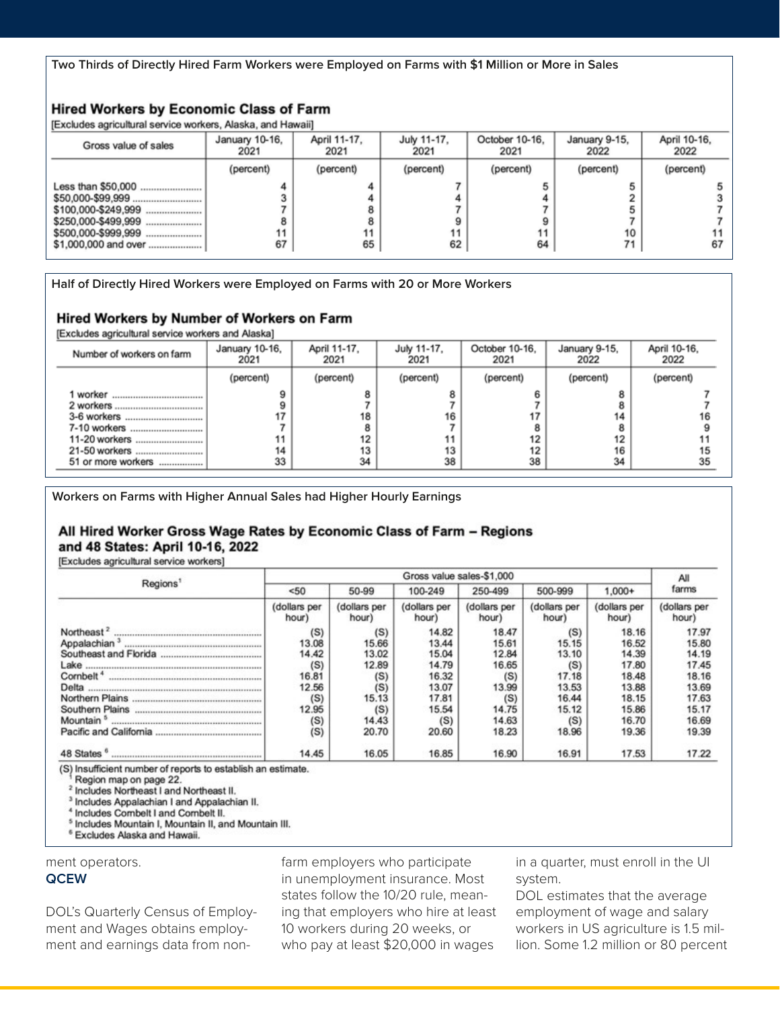**Two Thirds of Directly Hired Farm Workers were Employed on Farms with \$1 Million or More in Sales**

## **Hired Workers by Economic Class of Farm**

[Excludes agricultural service workers, Alaska, and Hawaii]

| Gross value of sales                                                                     | January 10-16.<br>2021 | April 11-17.<br>2021 | July 11-17.<br>2021 | October 10-16.<br>2021 | January 9-15.<br>2022 | April 10-16,<br>2022 |
|------------------------------------------------------------------------------------------|------------------------|----------------------|---------------------|------------------------|-----------------------|----------------------|
|                                                                                          | (percent)              | (percent)            | (percent)           | (percent)              | (percent)             | (percent)            |
| Less than \$50,000<br>\$100,000-\$249,999<br>\$500.000-\$999,999<br>\$1,000,000 and over | 67                     | 65                   | 62                  | 11<br>64               | 10<br>71              | 67                   |

**Half of Directly Hired Workers were Employed on Farms with 20 or More Workers** 

#### Hired Workers by Number of Workers on Farm

[Excludes agricultural service workers and Alaska]

| Number of workers on farm | January 10-16,<br>2021 | April 11-17,<br>2021 | July 11-17.<br>2021 | October 10-16.<br>2021 | January 9-15,<br>2022 | April 10-16,<br>2022 |
|---------------------------|------------------------|----------------------|---------------------|------------------------|-----------------------|----------------------|
|                           | (percent)              | (percent)            | (percent)           | (percent)              | (percent)             | (percent)            |
| worker                    |                        |                      |                     |                        |                       |                      |
|                           |                        |                      |                     |                        |                       |                      |
| 3-6 workers               |                        | 18                   | 16                  |                        | 14                    |                      |
| 7-10 workers              |                        |                      |                     | 8                      |                       |                      |
| 11-20 workers             |                        |                      | 11                  | 12                     | 12                    |                      |
| 21-50 workers             | 14                     | 13                   | 13                  | 12                     | 16                    | 15                   |
| 51 or more workers        | 33                     | 34                   | 38                  | 38                     | 34                    | 35                   |

**Workers on Farms with Higher Annual Sales had Higher Hourly Earnings**

### All Hired Worker Gross Wage Rates by Economic Class of Farm - Regions and 48 States: April 10-16, 2022

[Excludes agricultural service workers]

|                          |                       |                       |                       | Gross value sales-\$1,000 |                       |                       | All                   |
|--------------------------|-----------------------|-----------------------|-----------------------|---------------------------|-----------------------|-----------------------|-----------------------|
| Regions                  | < 50                  | 50-99                 | 100-249               | 250-499                   | 500-999               | $1.000+$              | farms                 |
|                          | (dollars per<br>hour) | (dollars per<br>hour) | (dollars per<br>hour) | (dollars per<br>hour)     | (dollars per<br>hour) | (dollars per<br>hour) | (dollars per<br>hour) |
| Northeast <sup>2</sup>   | (S)                   | (S)                   | 14.82                 | 18.47                     | (S)                   | 18.16                 | 17.97                 |
| Appalachian <sup>3</sup> | 13.08                 | 15.66                 | 13.44                 | 15.61                     | 15.15                 | 16.52                 | 15.80                 |
|                          | 14.42                 | 13.02                 | 15.04                 | 12.84                     | 13.10                 | 14.39                 | 14.19                 |
| Lake                     | (S)                   | 12.89                 | 14.79                 | 16.65                     | (S)                   | 17.80                 | 17.45                 |
| Cornbelt <sup>4</sup>    | 16.81                 | (S)                   | 16.32                 | (S)                       | 17.18                 | 18.48                 | 18.16                 |
| Delta                    | 12.56                 | (S)                   | 13.07                 | 13.99                     | 13.53                 | 13.88                 | 13.69                 |
|                          | (S)                   | 15.13                 | 17.81                 | (S)                       | 16.44                 | 18.15                 | 17.63                 |
| Southern Plains          | 12.95                 | (S)                   | 15.54                 | 14.75                     | 15.12                 | 15.86                 | 15.17                 |
| Mountain <sup>5</sup>    | (S)                   | 14.43                 | (S)                   | 14.63                     | (S)                   | 16.70                 | 16.69                 |
| Pacific and California   | (S)                   | 20.70                 | 20.60                 | 18.23                     | 18.96                 | 19.36                 | 19.39                 |
| 48 States                | 14.45                 | 16.05                 | 16.85                 | 16.90                     | 16.91                 | 17.53                 | 17.22                 |

(S) Insufficient number of reports to establish an estimate.

Region map on page 22.

<sup>2</sup> Includes Northeast I and Northeast II.

<sup>3</sup> Includes Appalachian I and Appalachian II.

<sup>4</sup> Includes Combelt I and Combelt II.

<sup>5</sup> Includes Mountain I, Mountain II, and Mountain III.

<sup>6</sup> Excludes Alaska and Hawaii.

ment operators.

#### **QCEW**

DOL's Quarterly Census of Employment and Wages obtains employment and earnings data from nonfarm employers who participate in unemployment insurance. Most states follow the 10/20 rule, meaning that employers who hire at least 10 workers during 20 weeks, or who pay at least \$20,000 in wages

in a quarter, must enroll in the UI system.

DOL estimates that the average employment of wage and salary workers in US agriculture is 1.5 million. Some 1.2 million or 80 percent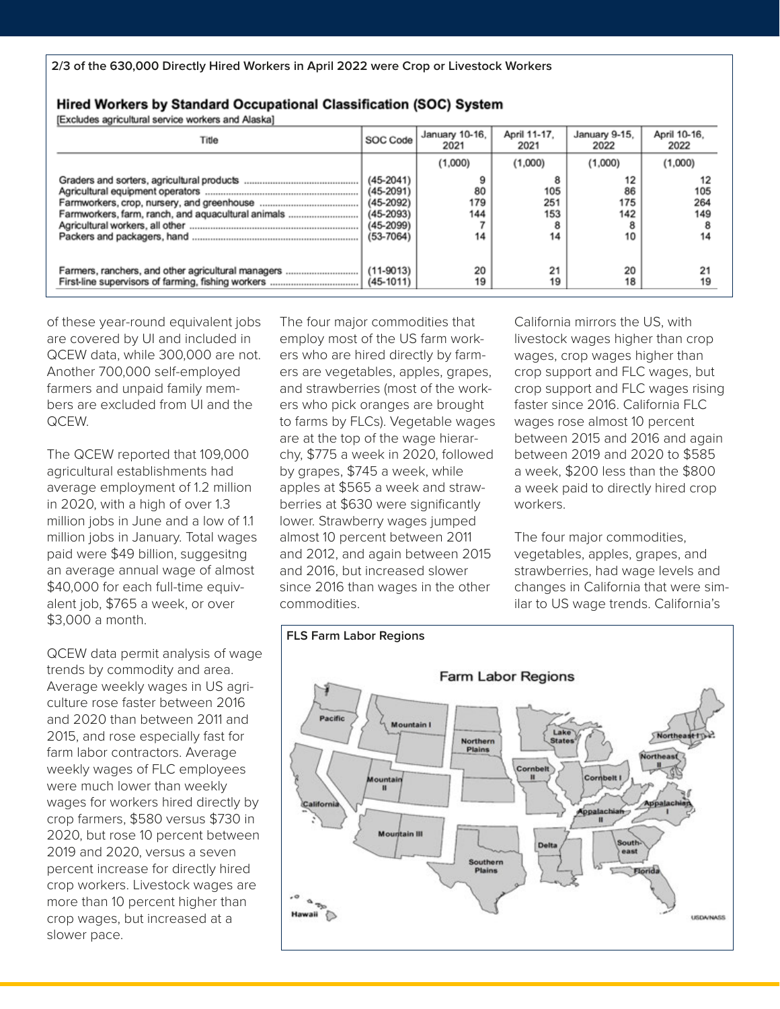Hired Workers by Standard Occupational Classification (SOC) System

**IExcludes agricultural service workers and Alaska1** 

| Title                                              | SOC Code                                                                                     | January 10-16,<br>2021 | April 11-17.<br>2021              | January 9-15.<br>2022        | April 10-16,<br>2022 |  |  |
|----------------------------------------------------|----------------------------------------------------------------------------------------------|------------------------|-----------------------------------|------------------------------|----------------------|--|--|
|                                                    |                                                                                              | (1,000)                | (1,000)                           | (1,000)                      | (1,000)              |  |  |
| Farmworkers, farm, ranch, and aquacultural animals | $(45 - 2041)$<br>$(45 - 2091)$<br>$(45-2092)$<br>$(45-2093)$<br>$(45-2099)$<br>$(53 - 7064)$ | 80<br>179<br>144<br>14 | 8<br>105<br>251<br>153<br>8<br>14 | 12<br>86<br>175<br>142<br>10 | 105<br>264<br>149    |  |  |
| Farmers, ranchers, and other agricultural managers | $(11-9013)$<br>$(45 - 1011)$                                                                 | 20<br>19               | 21<br>19                          | 20<br>18                     | 19                   |  |  |

of these year-round equivalent jobs are covered by UI and included in QCEW data, while 300,000 are not. Another 700,000 self-employed farmers and unpaid family members are excluded from UI and the QCEW.

The QCEW reported that 109,000 agricultural establishments had average employment of 1.2 million in 2020, with a high of over 1.3 million jobs in June and a low of 1.1 million jobs in January. Total wages paid were \$49 billion, suggesitng an average annual wage of almost \$40,000 for each full-time equivalent job, \$765 a week, or over \$3,000 a month.

QCEW data permit analysis of wage trends by commodity and area. Average weekly wages in US agriculture rose faster between 2016 and 2020 than between 2011 and 2015, and rose especially fast for farm labor contractors. Average weekly wages of FLC employees were much lower than weekly wages for workers hired directly by crop farmers, \$580 versus \$730 in 2020, but rose 10 percent between 2019 and 2020, versus a seven percent increase for directly hired crop workers. Livestock wages are more than 10 percent higher than crop wages, but increased at a slower pace.

The four major commodities that employ most of the US farm workers who are hired directly by farmers are vegetables, apples, grapes, and strawberries (most of the workers who pick oranges are brought to farms by FLCs). Vegetable wages are at the top of the wage hierarchy, \$775 a week in 2020, followed by grapes, \$745 a week, while apples at \$565 a week and strawberries at \$630 were significantly lower. Strawberry wages jumped almost 10 percent between 2011 and 2012, and again between 2015 and 2016, but increased slower since 2016 than wages in the other commodities.

California mirrors the US, with livestock wages higher than crop wages, crop wages higher than crop support and FLC wages, but crop support and FLC wages rising faster since 2016. California FLC wages rose almost 10 percent between 2015 and 2016 and again between 2019 and 2020 to \$585 a week, \$200 less than the \$800 a week paid to directly hired crop workers.

The four major commodities, vegetables, apples, grapes, and strawberries, had wage levels and changes in California that were similar to US wage trends. California's

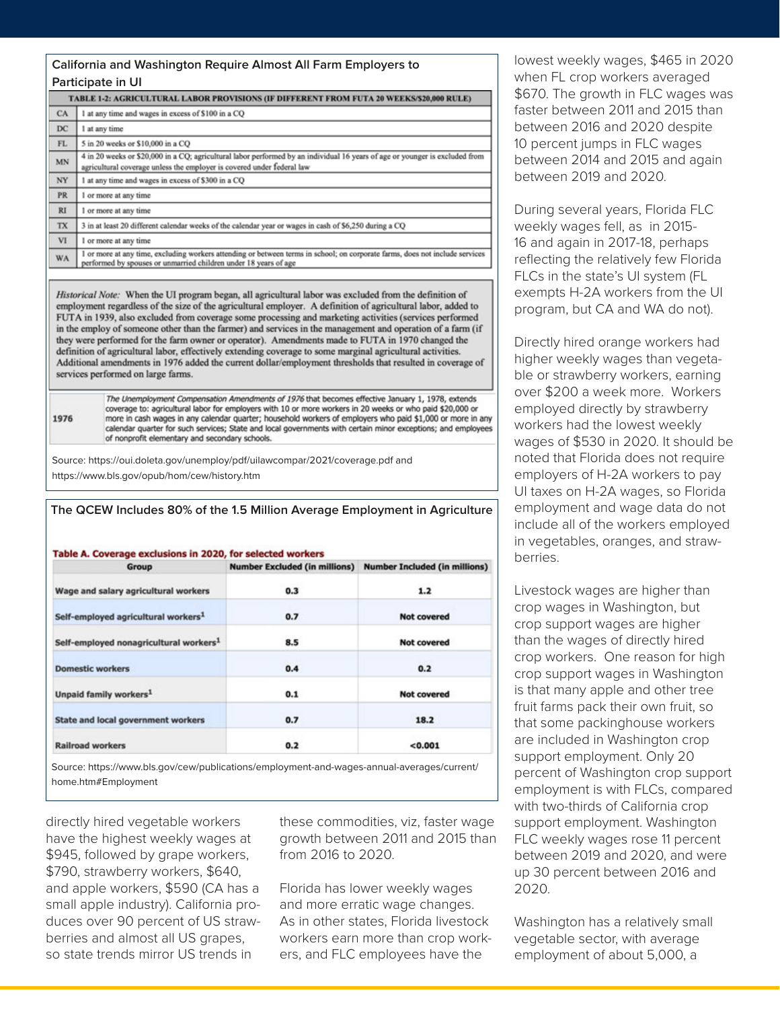|           | California and Washington Reguire Almost All Farm Employers to                                                                                                                                                                                                                                                                                                                                                                                                                                                                                                                                                                                                   |  |  |  |  |  |  |
|-----------|------------------------------------------------------------------------------------------------------------------------------------------------------------------------------------------------------------------------------------------------------------------------------------------------------------------------------------------------------------------------------------------------------------------------------------------------------------------------------------------------------------------------------------------------------------------------------------------------------------------------------------------------------------------|--|--|--|--|--|--|
|           | Participate in UI                                                                                                                                                                                                                                                                                                                                                                                                                                                                                                                                                                                                                                                |  |  |  |  |  |  |
|           | TABLE 1-2: AGRICULTURAL LABOR PROVISIONS (IF DIFFERENT FROM FUTA 20 WEEKS/\$20,000 RULE)                                                                                                                                                                                                                                                                                                                                                                                                                                                                                                                                                                         |  |  |  |  |  |  |
| CA        | 1 at any time and wages in excess of \$100 in a CQ                                                                                                                                                                                                                                                                                                                                                                                                                                                                                                                                                                                                               |  |  |  |  |  |  |
| DC        | 1 at any time                                                                                                                                                                                                                                                                                                                                                                                                                                                                                                                                                                                                                                                    |  |  |  |  |  |  |
| FL        | 5 in 20 weeks or \$10,000 in a CQ                                                                                                                                                                                                                                                                                                                                                                                                                                                                                                                                                                                                                                |  |  |  |  |  |  |
| MN        | 4 in 20 weeks or \$20,000 in a CQ; agricultural labor performed by an individual 16 years of age or younger is excluded from<br>agricultural coverage unless the employer is covered under federal law                                                                                                                                                                                                                                                                                                                                                                                                                                                           |  |  |  |  |  |  |
| NY        | 1 at any time and wages in excess of \$300 in a CQ                                                                                                                                                                                                                                                                                                                                                                                                                                                                                                                                                                                                               |  |  |  |  |  |  |
| <b>PR</b> | 1 or more at any time                                                                                                                                                                                                                                                                                                                                                                                                                                                                                                                                                                                                                                            |  |  |  |  |  |  |
| RI        | 1 or more at any time                                                                                                                                                                                                                                                                                                                                                                                                                                                                                                                                                                                                                                            |  |  |  |  |  |  |
| <b>TX</b> | 3 in at least 20 different calendar weeks of the calendar year or wages in cash of \$6,250 during a CQ                                                                                                                                                                                                                                                                                                                                                                                                                                                                                                                                                           |  |  |  |  |  |  |
| VI        | 1 or more at any time                                                                                                                                                                                                                                                                                                                                                                                                                                                                                                                                                                                                                                            |  |  |  |  |  |  |
| WA        | I or more at any time, excluding workers attending or between terms in school; on corporate farms, does not include services<br>performed by spouses or unmarried children under 18 years of age                                                                                                                                                                                                                                                                                                                                                                                                                                                                 |  |  |  |  |  |  |
|           | Historical Note: When the UI program began, all agricultural labor was excluded from the definition of<br>employment regardless of the size of the agricultural employer. A definition of agricultural labor, added to<br>FUTA in 1939, also excluded from coverage some processing and marketing activities (services performed<br>in the employ of someone other than the farmer) and services in the management and operation of a farm (if<br>they were performed for the farm owner or operator). Amendments made to FUTA in 1970 changed the<br>definition of agricultural labor, effectively extending coverage to some marginal agricultural activities. |  |  |  |  |  |  |

Additional amendments in 1976 added the current dollar/employment thresholds that resulted in coverage of services performed on large farms.

The Unemployment Compensation Amendments of 1976 that becomes effective January 1, 1978, extends coverage to: agricultural labor for employers with 10 or more workers in 20 weeks or who paid \$20,000 or more in cash wages in any calendar quarter; household workers of employers who paid \$1,000 or more in any calendar quarter for such services; State and local governments with certain minor exceptions; and employees of nonprofit elementary and secondary schools.

Source: https://oui.doleta.gov/unemploy/pdf/uilawcompar/2021/coverage.pdf and https://www.bls.gov/opub/hom/cew/history.htm

1976

| Table A. Coverage exclusions in 2020, for selected workers |                                      |                                      |
|------------------------------------------------------------|--------------------------------------|--------------------------------------|
| Group                                                      | <b>Number Excluded (in millions)</b> | <b>Number Included (in millions)</b> |
| Wage and salary agricultural workers                       | 0.3                                  | 1.2                                  |
| Self-employed agricultural workers <sup>1</sup>            | 0.7                                  | <b>Not covered</b>                   |
| Self-employed nonagricultural workers <sup>1</sup>         | 8.5                                  | <b>Not covered</b>                   |
| <b>Domestic workers</b>                                    | 0.4                                  | 0.2                                  |
| Unpaid family workers <sup>1</sup>                         | 0.1                                  | <b>Not covered</b>                   |
| <b>State and local government workers</b>                  | 0.7                                  | 18.2                                 |
| <b>Railroad workers</b>                                    | 0.2                                  | < 0.001                              |

Source: https://www.bls.gov/cew/publications/employment-and-wages-annual-averages/current/ home.htm#Employment

directly hired vegetable workers have the highest weekly wages at \$945, followed by grape workers, \$790, strawberry workers, \$640, and apple workers, \$590 (CA has a small apple industry). California produces over 90 percent of US strawberries and almost all US grapes, so state trends mirror US trends in

these commodities, viz, faster wage growth between 2011 and 2015 than from 2016 to 2020.

Florida has lower weekly wages and more erratic wage changes. As in other states, Florida livestock workers earn more than crop workers, and FLC employees have the

lowest weekly wages, \$465 in 2020 when FL crop workers averaged \$670. The growth in FLC wages was faster between 2011 and 2015 than between 2016 and 2020 despite 10 percent jumps in FLC wages between 2014 and 2015 and again between 2019 and 2020.

During several years, Florida FLC weekly wages fell, as in 2015- 16 and again in 2017-18, perhaps reflecting the relatively few Florida FLCs in the state's UI system (FL exempts H-2A workers from the UI program, but CA and WA do not).

Directly hired orange workers had higher weekly wages than vegetable or strawberry workers, earning over \$200 a week more. Workers employed directly by strawberry workers had the lowest weekly wages of \$530 in 2020. It should be noted that Florida does not require employers of H-2A workers to pay UI taxes on H-2A wages, so Florida employment and wage data do not include all of the workers employed in vegetables, oranges, and strawberries.

Livestock wages are higher than crop wages in Washington, but crop support wages are higher than the wages of directly hired crop workers. One reason for high crop support wages in Washington is that many apple and other tree fruit farms pack their own fruit, so that some packinghouse workers are included in Washington crop support employment. Only 20 percent of Washington crop support employment is with FLCs, compared with two-thirds of California crop support employment. Washington FLC weekly wages rose 11 percent between 2019 and 2020, and were up 30 percent between 2016 and 2020.

Washington has a relatively small vegetable sector, with average employment of about 5,000, a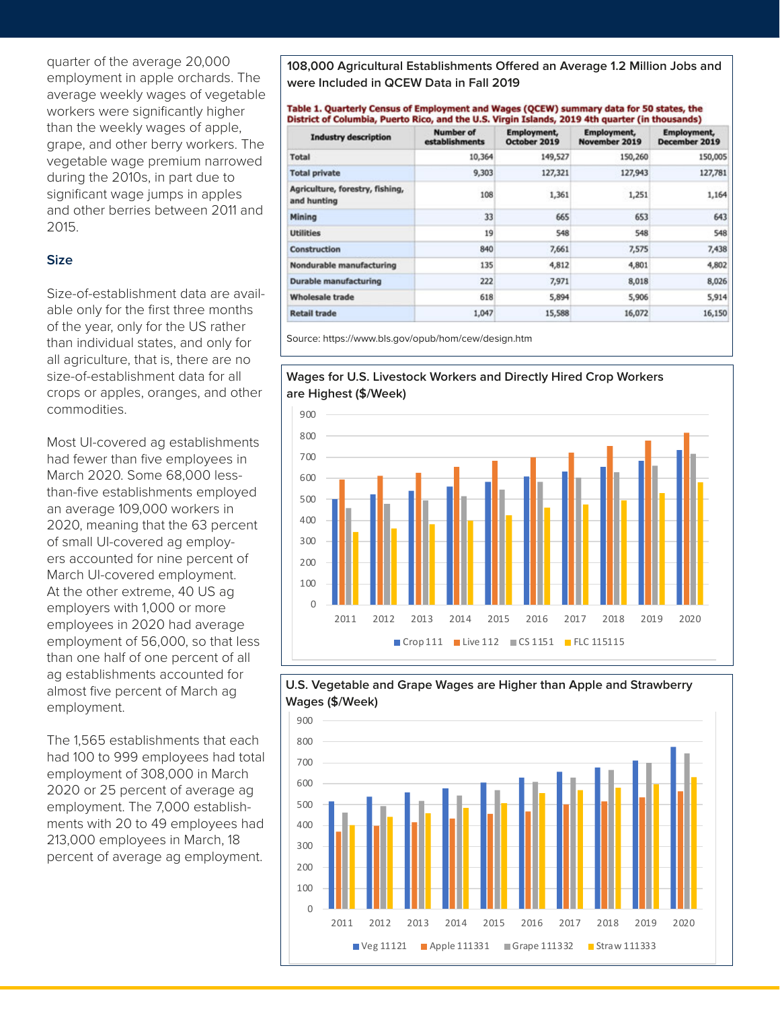quarter of the average 20,000 employment in apple orchards. The average weekly wages of vegetable workers were significantly higher than the weekly wages of apple, grape, and other berry workers. The vegetable wage premium narrowed during the 2010s, in part due to significant wage jumps in apples and other berries between 2011 and 2015.

## **Size**

Size-of-establishment data are available only for the first three months of the year, only for the US rather than individual states, and only for all agriculture, that is, there are no size-of-establishment data for all crops or apples, oranges, and other commodities.

Most UI-covered ag establishments had fewer than five employees in March 2020. Some 68,000 lessthan-five establishments employed an average 109,000 workers in 2020, meaning that the 63 percent of small UI-covered ag employers accounted for nine percent of March UI-covered employment. At the other extreme, 40 US ag employers with 1,000 or more employees in 2020 had average employment of 56,000, so that less than one half of one percent of all ag establishments accounted for almost five percent of March ag employment.

The 1,565 establishments that each had 100 to 999 employees had total employment of 308,000 in March 2020 or 25 percent of average ag employment. The 7,000 establishments with 20 to 49 employees had 213,000 employees in March, 18 percent of average ag employment.

**108,000 Agricultural Establishments Offered an Average 1.2 Million Jobs and were Included in QCEW Data in Fall 2019**

#### Table 1. Quarterly Census of Employment and Wages (QCEW) summary data for 50 states, the District of Columbia, Puerto Rico, and the U.S. Virgin Islands, 2019 4th quarter (in thousands)

| <b>Industry description</b>                    | Number of<br>establishments | <b>Employment,</b><br>October 2019 | <b>Employment</b> ,<br>November 2019 | <b>Employment</b> ,<br>December 2019 |  |
|------------------------------------------------|-----------------------------|------------------------------------|--------------------------------------|--------------------------------------|--|
| Total                                          | 10,364                      | 149,527                            | 150,260                              | 150,005                              |  |
| <b>Total private</b>                           | 9,303                       | 127,321                            | 127,943                              | 127,781                              |  |
| Agriculture, forestry, fishing,<br>and hunting | 108                         | 1,361                              | 1,251                                | 1,164                                |  |
| Mining                                         | 33                          | 665                                | 653                                  | 643                                  |  |
| <b>Utilities</b>                               | 19                          | 548                                | 548                                  | 548                                  |  |
| Construction                                   | 840                         | 7,661                              | 7,575                                | 7,438                                |  |
| Nondurable manufacturing                       | 135                         | 4,812                              | 4,801                                | 4,802                                |  |
| <b>Durable manufacturing</b>                   | 222                         | 7,971                              | 8,018                                | 8,026                                |  |
| <b>Wholesale trade</b>                         | 618                         | 5,894                              | 5,906                                | 5,914                                |  |
| <b>Retail trade</b>                            | 1,047                       | 15,588                             | 16,072                               | 16,150                               |  |

Source: https://www.bls.gov/opub/hom/cew/design.htm

## **Wages for U.S. Livestock Workers and Directly Hired Crop Workers are Highest (\$/Week)**





# **U.S. Vegetable and Grape Wages are Higher than Apple and Strawberry**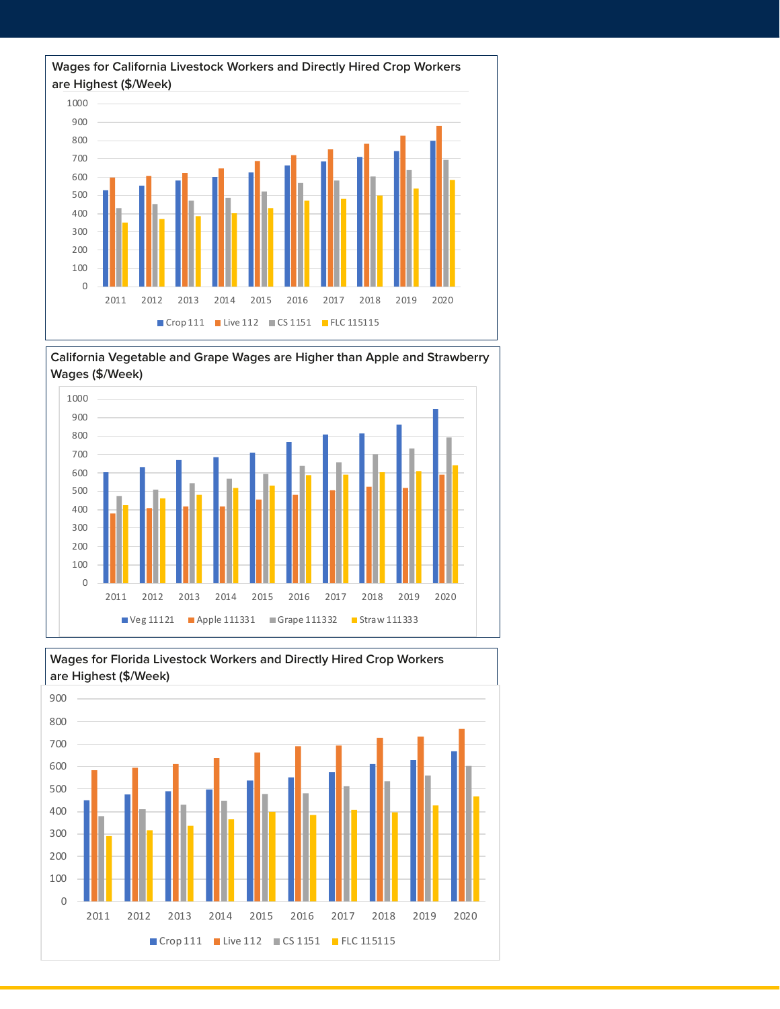

**California Vegetable and Grape Wages are Higher than Apple and Strawberry Wages (\$/Week)**



**Wages for Florida Livestock Workers and Directly Hired Crop Workers are Highest (\$/Week)** 2011 2012 2013 2014 2015 2016 2017 2018 2019 2020 Crop 111 Live 112 CS 1151 FLC 115115